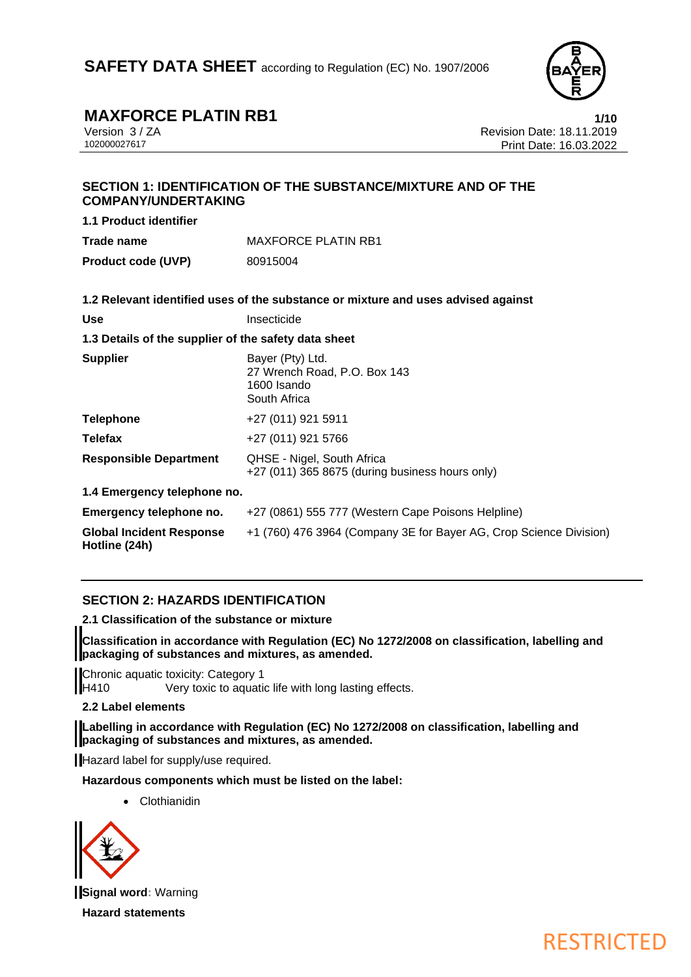

# **MAXFORCE PLATIN RB1 1/10**<br>
Version 3/ZA **1/10 Revision Date: 18.11.2019**

Version 3 / ZA Revision Date: 18.11.2019 Print Date: 16.03.2022

## **SECTION 1: IDENTIFICATION OF THE SUBSTANCE/MIXTURE AND OF THE COMPANY/UNDERTAKING**

**1.1 Product identifier Trade name** MAXFORCE PLATIN RB1

**Product code (UVP)** 80915004

|                                                      | 1.2 Relevant identified uses of the substance or mixture and uses advised against |  |  |
|------------------------------------------------------|-----------------------------------------------------------------------------------|--|--|
| <b>Use</b>                                           | Insecticide                                                                       |  |  |
| 1.3 Details of the supplier of the safety data sheet |                                                                                   |  |  |
| <b>Supplier</b>                                      | Bayer (Pty) Ltd.<br>27 Wrench Road, P.O. Box 143<br>1600 Isando<br>South Africa   |  |  |
| <b>Telephone</b>                                     | +27 (011) 921 5911                                                                |  |  |
| <b>Telefax</b>                                       | +27 (011) 921 5766                                                                |  |  |
| <b>Responsible Department</b>                        | QHSE - Nigel, South Africa<br>+27 (011) 365 8675 (during business hours only)     |  |  |
| 1.4 Emergency telephone no.                          |                                                                                   |  |  |
| Emergency telephone no.                              | +27 (0861) 555 777 (Western Cape Poisons Helpline)                                |  |  |
| <b>Global Incident Response</b><br>Hotline (24h)     | +1 (760) 476 3964 (Company 3E for Bayer AG, Crop Science Division)                |  |  |

## **SECTION 2: HAZARDS IDENTIFICATION**

**2.1 Classification of the substance or mixture**

**Classification in accordance with Regulation (EC) No 1272/2008 on classification, labelling and packaging of substances and mixtures, as amended.**

Chronic aquatic toxicity: Category 1 H410 Very toxic to aquatic life with long lasting effects.

## **2.2 Label elements**

**Labelling in accordance with Regulation (EC) No 1272/2008 on classification, labelling and packaging of substances and mixtures, as amended.**

Hazard label for supply/use required.

**Hazardous components which must be listed on the label:**

• Clothianidin



**Signal word:** Warning

**Hazard statements**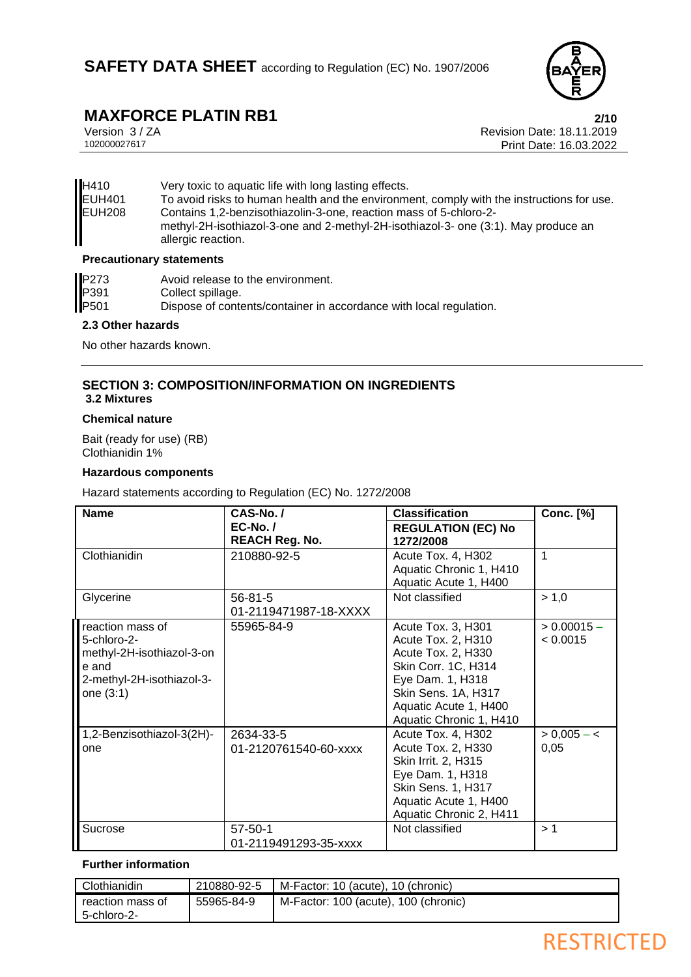

# **MAXFORCE PLATIN RB1** 2/10<br>Version 3/ZA Revision Date: 18.11.2019

Version 3 / ZA Revision Date: 18.11.2019 Print Date: 16.03.2022

| H410          | Very toxic to aquatic life with long lasting effects.                                                                                                                         |
|---------------|-------------------------------------------------------------------------------------------------------------------------------------------------------------------------------|
| <b>EUH401</b> | To avoid risks to human health and the environment, comply with the instructions for use.                                                                                     |
| EUH208        | Contains 1,2-benzisothiazolin-3-one, reaction mass of 5-chloro-2-<br>methyl-2H-isothiazol-3-one and 2-methyl-2H-isothiazol-3- one (3:1). May produce an<br>allergic reaction. |

#### **Precautionary statements**

| P273 | Avoid release to the environment.                                  |
|------|--------------------------------------------------------------------|
| P391 | Collect spillage.                                                  |
| P501 | Dispose of contents/container in accordance with local regulation. |

#### **2.3 Other hazards**

No other hazards known.

### **SECTION 3: COMPOSITION/INFORMATION ON INGREDIENTS 3.2 Mixtures**

#### **Chemical nature**

Bait (ready for use) (RB) Clothianidin 1%

#### **Hazardous components**

Hazard statements according to Regulation (EC) No. 1272/2008

| <b>Name</b>                                                                                                     | CAS-No./<br>$EC-No. /$<br><b>REACH Reg. No.</b> | <b>Classification</b><br><b>REGULATION (EC) No</b><br>1272/2008                                                                                                                      | <b>Conc.</b> [%]          |
|-----------------------------------------------------------------------------------------------------------------|-------------------------------------------------|--------------------------------------------------------------------------------------------------------------------------------------------------------------------------------------|---------------------------|
| Clothianidin                                                                                                    | 210880-92-5                                     | Acute Tox. 4, H302<br>Aquatic Chronic 1, H410<br>Aquatic Acute 1, H400                                                                                                               | 1                         |
| Glycerine                                                                                                       | $56 - 81 - 5$<br>01-2119471987-18-XXXX          | Not classified                                                                                                                                                                       | > 1,0                     |
| reaction mass of<br>5-chloro-2-<br>methyl-2H-isothiazol-3-on<br>e and<br>2-methyl-2H-isothiazol-3-<br>one (3:1) | 55965-84-9                                      | Acute Tox. 3, H301<br>Acute Tox. 2, H310<br>Acute Tox. 2, H330<br>Skin Corr. 1C, H314<br>Eye Dam. 1, H318<br>Skin Sens. 1A, H317<br>Aquatic Acute 1, H400<br>Aquatic Chronic 1, H410 | $> 0.00015 -$<br>< 0.0015 |
| 1,2-Benzisothiazol-3(2H)-<br>one                                                                                | 2634-33-5<br>01-2120761540-60-xxxx              | Acute Tox. 4, H302<br>Acute Tox. 2, H330<br>Skin Irrit. 2, H315<br>Eye Dam. 1, H318<br>Skin Sens. 1, H317<br>Aquatic Acute 1, H400<br>Aquatic Chronic 2, H411                        | $> 0,005 - 5$<br>0,05     |
| Sucrose                                                                                                         | $57 - 50 - 1$<br>01-2119491293-35-xxxx          | Not classified                                                                                                                                                                       | >1                        |

## **Further information**

| Clothianidin     | 210880-92-5 | M-Factor: 10 (acute), 10 (chronic)   |
|------------------|-------------|--------------------------------------|
| reaction mass of | 55965-84-9  | M-Factor: 100 (acute), 100 (chronic) |
| 5-chloro-2-      |             |                                      |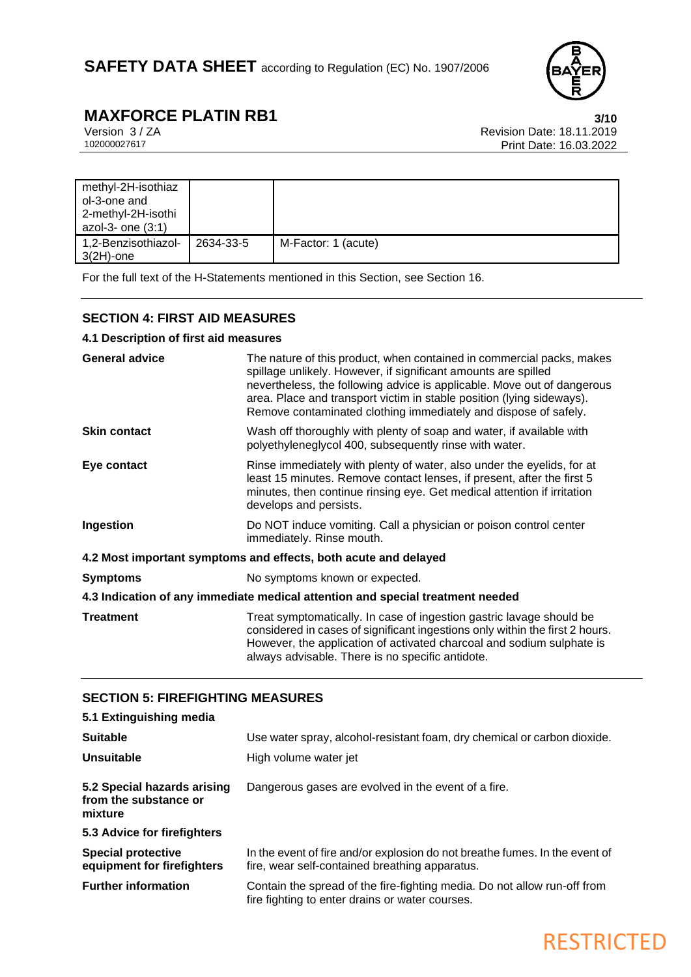

RESTRICTED

# **MAXFORCE PLATIN RB1** 3/10<br>Version 3/ZA Revision Date: 18.11.2019

Version 3 / ZA Revision Date: 18.11.2019 Print Date: 16.03.2022

| methyl-2H-isothiaz                  |           |                     |
|-------------------------------------|-----------|---------------------|
| ol-3-one and                        |           |                     |
| 2-methyl-2H-isothi                  |           |                     |
| azol-3- one $(3:1)$                 |           |                     |
| 1,2-Benzisothiazol-<br>$3(2H)$ -one | 2634-33-5 | M-Factor: 1 (acute) |

For the full text of the H-Statements mentioned in this Section, see Section 16.

## **SECTION 4: FIRST AID MEASURES**

## **4.1 Description of first aid measures**

| <b>General advice</b>                                                          | The nature of this product, when contained in commercial packs, makes<br>spillage unlikely. However, if significant amounts are spilled<br>nevertheless, the following advice is applicable. Move out of dangerous<br>area. Place and transport victim in stable position (lying sideways).<br>Remove contaminated clothing immediately and dispose of safely. |  |
|--------------------------------------------------------------------------------|----------------------------------------------------------------------------------------------------------------------------------------------------------------------------------------------------------------------------------------------------------------------------------------------------------------------------------------------------------------|--|
| <b>Skin contact</b>                                                            | Wash off thoroughly with plenty of soap and water, if available with<br>polyethyleneglycol 400, subsequently rinse with water.                                                                                                                                                                                                                                 |  |
| Eye contact                                                                    | Rinse immediately with plenty of water, also under the eyelids, for at<br>least 15 minutes. Remove contact lenses, if present, after the first 5<br>minutes, then continue rinsing eye. Get medical attention if irritation<br>develops and persists.                                                                                                          |  |
| Ingestion                                                                      | Do NOT induce vomiting. Call a physician or poison control center<br>immediately. Rinse mouth.                                                                                                                                                                                                                                                                 |  |
|                                                                                | 4.2 Most important symptoms and effects, both acute and delayed                                                                                                                                                                                                                                                                                                |  |
| <b>Symptoms</b>                                                                | No symptoms known or expected.                                                                                                                                                                                                                                                                                                                                 |  |
| 4.3 Indication of any immediate medical attention and special treatment needed |                                                                                                                                                                                                                                                                                                                                                                |  |
| <b>Treatment</b>                                                               | Treat symptomatically. In case of ingestion gastric lavage should be<br>considered in cases of significant ingestions only within the first 2 hours.<br>However, the application of activated charcoal and sodium sulphate is<br>always advisable. There is no specific antidote.                                                                              |  |

## **SECTION 5: FIREFIGHTING MEASURES**

| 5.1 Extinguishing media                                         |                                                                                                                               |
|-----------------------------------------------------------------|-------------------------------------------------------------------------------------------------------------------------------|
| <b>Suitable</b>                                                 | Use water spray, alcohol-resistant foam, dry chemical or carbon dioxide.                                                      |
| Unsuitable                                                      | High volume water jet                                                                                                         |
| 5.2 Special hazards arising<br>from the substance or<br>mixture | Dangerous gases are evolved in the event of a fire.                                                                           |
| 5.3 Advice for firefighters                                     |                                                                                                                               |
| <b>Special protective</b><br>equipment for firefighters         | In the event of fire and/or explosion do not breathe fumes. In the event of<br>fire, wear self-contained breathing apparatus. |
| <b>Further information</b>                                      | Contain the spread of the fire-fighting media. Do not allow run-off from<br>fire fighting to enter drains or water courses.   |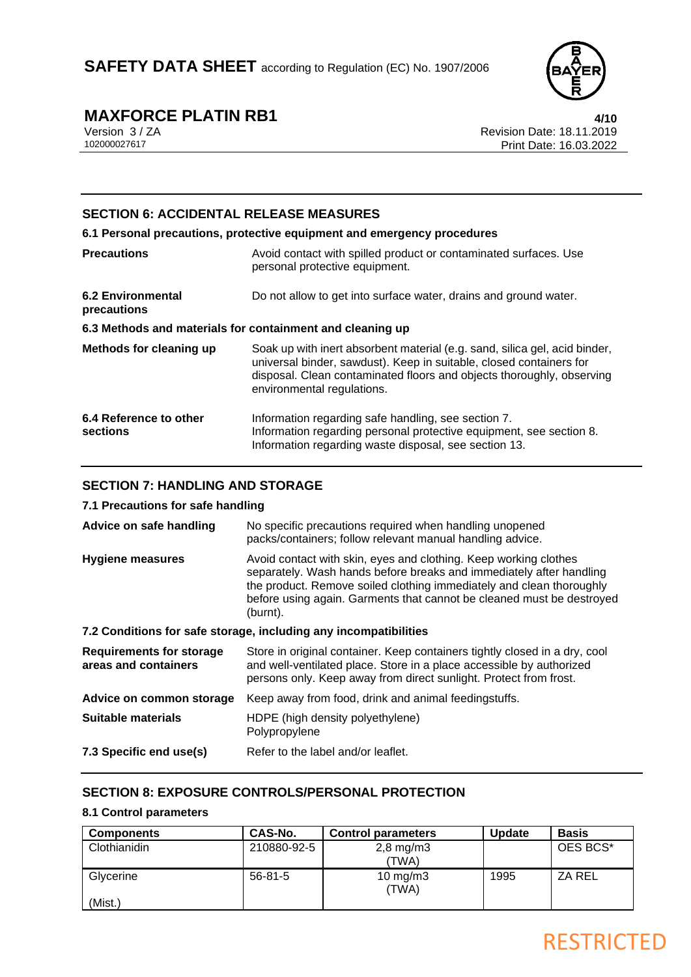

# **MAXFORCE PLATIN RB1** 4/10<br>
Version 3/ZA Revision Date: 18.11.2019

Version 3 / ZA Revision Date: 18.11.2019 Print Date: 16.03.2022

## **SECTION 6: ACCIDENTAL RELEASE MEASURES**

**6.1 Personal precautions, protective equipment and emergency procedures Precautions Avoid contact with spilled product or contaminated surfaces. Use** personal protective equipment. **6.2 Environmental precautions** Do not allow to get into surface water, drains and ground water. **6.3 Methods and materials for containment and cleaning up Methods for cleaning up** Soak up with inert absorbent material (e.g. sand, silica gel, acid binder, universal binder, sawdust). Keep in suitable, closed containers for disposal. Clean contaminated floors and objects thoroughly, observing

environmental regulations.

| 6.4 Reference to other | Information regarding safe handling, see section 7.                 |
|------------------------|---------------------------------------------------------------------|
| sections               | Information regarding personal protective equipment, see section 8. |
|                        | Information regarding waste disposal, see section 13.               |

## **SECTION 7: HANDLING AND STORAGE**

### **7.1 Precautions for safe handling**

| Advice on safe handling                                 | No specific precautions required when handling unopened<br>packs/containers; follow relevant manual handling advice.                                                                                                                                                                                 |  |
|---------------------------------------------------------|------------------------------------------------------------------------------------------------------------------------------------------------------------------------------------------------------------------------------------------------------------------------------------------------------|--|
| <b>Hygiene measures</b>                                 | Avoid contact with skin, eyes and clothing. Keep working clothes<br>separately. Wash hands before breaks and immediately after handling<br>the product. Remove soiled clothing immediately and clean thoroughly<br>before using again. Garments that cannot be cleaned must be destroyed<br>(burnt). |  |
|                                                         | 7.2 Conditions for safe storage, including any incompatibilities                                                                                                                                                                                                                                     |  |
| <b>Requirements for storage</b><br>areas and containers | Store in original container. Keep containers tightly closed in a dry, cool<br>and well-ventilated place. Store in a place accessible by authorized<br>persons only. Keep away from direct sunlight. Protect from frost.                                                                              |  |
| Advice on common storage                                | Keep away from food, drink and animal feedingstuffs.                                                                                                                                                                                                                                                 |  |
| Suitable materials                                      | HDPE (high density polyethylene)<br>Polypropylene                                                                                                                                                                                                                                                    |  |

**7.3 Specific end use(s)** Refer to the label and/or leaflet.

## **SECTION 8: EXPOSURE CONTROLS/PERSONAL PROTECTION**

#### **8.1 Control parameters**

| <b>Components</b> | CAS-No.       | <b>Control parameters</b> | <b>Update</b> | <b>Basis</b> |
|-------------------|---------------|---------------------------|---------------|--------------|
| Clothianidin      | 210880-92-5   | $2,8$ mg/m $3$            |               | OES BCS*     |
|                   |               | 'TWA)                     |               |              |
| Glycerine         | $56 - 81 - 5$ | 10 mg/m $3$               | 1995          | ZA REL       |
|                   |               | (TWA)                     |               |              |
| (Mist.)           |               |                           |               |              |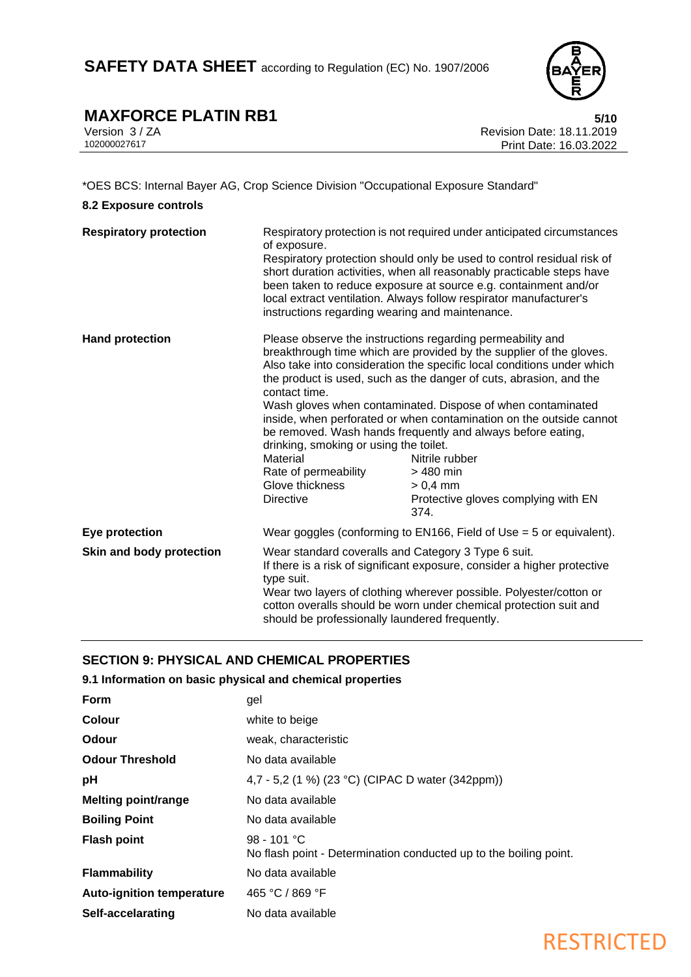

# **MAXFORCE PLATIN RB1** 5/10<br>
Version 3/ZA Revision Date: 18.11.2019

Version 3 / ZA Revision Date: 18.11.2019 Print Date: 16.03.2022

### \*OES BCS: Internal Bayer AG, Crop Science Division "Occupational Exposure Standard"

#### **8.2 Exposure controls**

| <b>Respiratory protection</b> | of exposure.                                                                                                                                                                                                                                                                                                                                                                                                                                                                                                                                                                                                                                                                                                             | Respiratory protection is not required under anticipated circumstances |  |
|-------------------------------|--------------------------------------------------------------------------------------------------------------------------------------------------------------------------------------------------------------------------------------------------------------------------------------------------------------------------------------------------------------------------------------------------------------------------------------------------------------------------------------------------------------------------------------------------------------------------------------------------------------------------------------------------------------------------------------------------------------------------|------------------------------------------------------------------------|--|
|                               | Respiratory protection should only be used to control residual risk of<br>short duration activities, when all reasonably practicable steps have<br>been taken to reduce exposure at source e.g. containment and/or<br>local extract ventilation. Always follow respirator manufacturer's<br>instructions regarding wearing and maintenance.                                                                                                                                                                                                                                                                                                                                                                              |                                                                        |  |
| <b>Hand protection</b>        | Please observe the instructions regarding permeability and<br>breakthrough time which are provided by the supplier of the gloves.<br>Also take into consideration the specific local conditions under which<br>the product is used, such as the danger of cuts, abrasion, and the<br>contact time.<br>Wash gloves when contaminated. Dispose of when contaminated<br>inside, when perforated or when contamination on the outside cannot<br>be removed. Wash hands frequently and always before eating,<br>drinking, smoking or using the toilet.<br>Material<br>Nitrile rubber<br>Rate of permeability<br>> 480 min<br>Glove thickness<br>$> 0.4$ mm<br><b>Directive</b><br>Protective gloves complying with EN<br>374. |                                                                        |  |
| Eye protection                |                                                                                                                                                                                                                                                                                                                                                                                                                                                                                                                                                                                                                                                                                                                          | Wear goggles (conforming to EN166, Field of Use $=$ 5 or equivalent).  |  |
| Skin and body protection      | Wear standard coveralls and Category 3 Type 6 suit.<br>If there is a risk of significant exposure, consider a higher protective<br>type suit.<br>Wear two layers of clothing wherever possible. Polyester/cotton or<br>cotton overalls should be worn under chemical protection suit and<br>should be professionally laundered frequently.                                                                                                                                                                                                                                                                                                                                                                               |                                                                        |  |

## **SECTION 9: PHYSICAL AND CHEMICAL PROPERTIES**

## **9.1 Information on basic physical and chemical properties**

| Form                             | gel                                                                                |
|----------------------------------|------------------------------------------------------------------------------------|
| <b>Colour</b>                    | white to beige                                                                     |
| Odour                            | weak, characteristic                                                               |
| <b>Odour Threshold</b>           | No data available                                                                  |
| рH                               | 4,7 - 5,2 (1 %) (23 °C) (CIPAC D water (342ppm))                                   |
| <b>Melting point/range</b>       | No data available                                                                  |
| <b>Boiling Point</b>             | No data available                                                                  |
| <b>Flash point</b>               | $98 - 101 °C$<br>No flash point - Determination conducted up to the boiling point. |
| <b>Flammability</b>              | No data available                                                                  |
| <b>Auto-ignition temperature</b> | 465 °C / 869 °F                                                                    |
| Self-accelarating                | No data available                                                                  |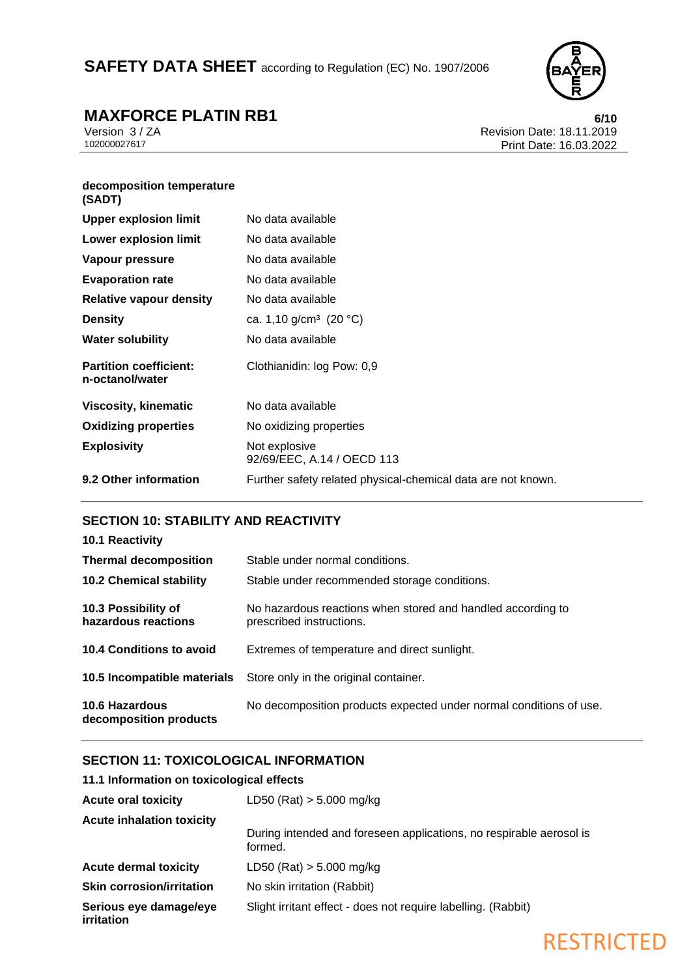SAFETY DATA SHEET according to Regulation (EC) No. 1907/2006



# **MAXFORCE PLATIN RB1** 6/10<br> **MEXECUTE: 18.11.2019** Revision Date: 18.11.2019

Version 3 / ZA Revision Date: 18.11.2019 Print Date: 16.03.2022

#### **decomposition temperature (SADT)**

| $\cdots$                                         |                                                              |
|--------------------------------------------------|--------------------------------------------------------------|
| <b>Upper explosion limit</b>                     | No data available                                            |
| <b>Lower explosion limit</b>                     | No data available                                            |
| Vapour pressure                                  | No data available                                            |
| <b>Evaporation rate</b>                          | No data available                                            |
| <b>Relative vapour density</b>                   | No data available                                            |
| <b>Density</b>                                   | ca. 1,10 g/cm <sup>3</sup> (20 °C)                           |
| <b>Water solubility</b>                          | No data available                                            |
| <b>Partition coefficient:</b><br>n-octanol/water | Clothianidin: log Pow: 0,9                                   |
| <b>Viscosity, kinematic</b>                      | No data available                                            |
| <b>Oxidizing properties</b>                      | No oxidizing properties                                      |
| <b>Explosivity</b>                               | Not explosive<br>92/69/EEC, A.14 / OECD 113                  |
| 9.2 Other information                            | Further safety related physical-chemical data are not known. |
|                                                  |                                                              |

## **SECTION 10: STABILITY AND REACTIVITY**

| <b>10.1 Reactivity</b>                          |                                                                                         |
|-------------------------------------------------|-----------------------------------------------------------------------------------------|
| <b>Thermal decomposition</b>                    | Stable under normal conditions.                                                         |
| <b>10.2 Chemical stability</b>                  | Stable under recommended storage conditions.                                            |
| 10.3 Possibility of<br>hazardous reactions      | No hazardous reactions when stored and handled according to<br>prescribed instructions. |
| 10.4 Conditions to avoid                        | Extremes of temperature and direct sunlight.                                            |
|                                                 | <b>10.5 Incompatible materials</b> Store only in the original container.                |
| <b>10.6 Hazardous</b><br>decomposition products | No decomposition products expected under normal conditions of use.                      |

## **SECTION 11: TOXICOLOGICAL INFORMATION**

## **11.1 Information on toxicological effects**

| <b>Acute oral toxicity</b>           | LD50 (Rat) $> 5.000$ mg/kg                                                     |
|--------------------------------------|--------------------------------------------------------------------------------|
| <b>Acute inhalation toxicity</b>     |                                                                                |
|                                      | During intended and foreseen applications, no respirable aerosol is<br>formed. |
| <b>Acute dermal toxicity</b>         | $LD50$ (Rat) $> 5.000$ mg/kg                                                   |
| <b>Skin corrosion/irritation</b>     | No skin irritation (Rabbit)                                                    |
| Serious eye damage/eye<br>irritation | Slight irritant effect - does not require labelling. (Rabbit)                  |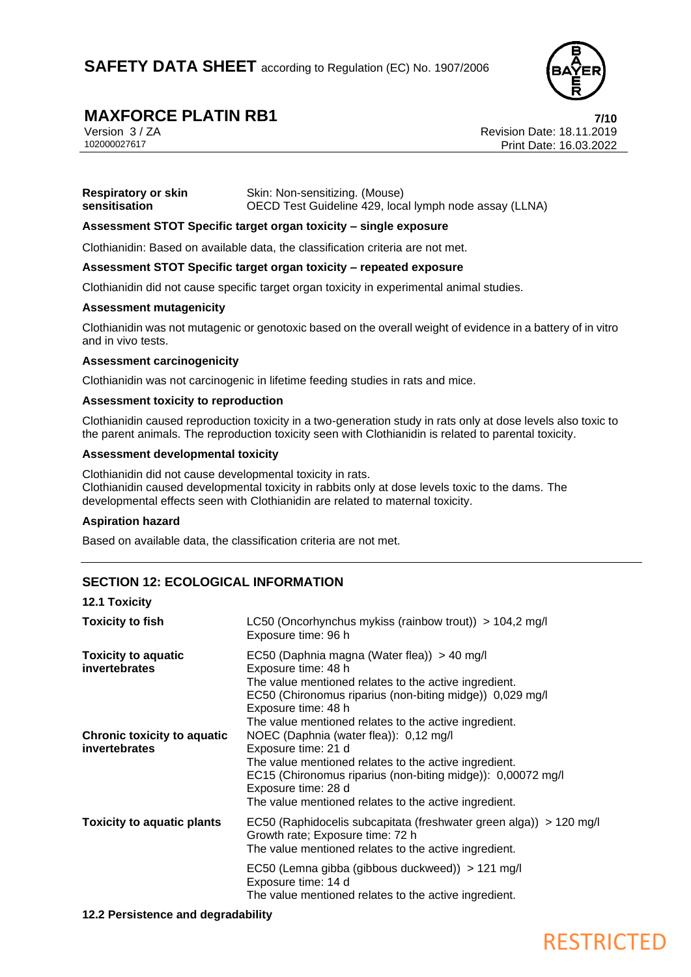

# **MAXFORCE PLATIN RB1 7/10**<br>
Version 3/ZA **Revision Date: 18.11.2019**

Version 3 / ZA Revision Date: 18.11.2019 Print Date: 16.03.2022

| <b>Respiratory or skin</b> | Skin: Non-sensitizing. (Mouse)                         |
|----------------------------|--------------------------------------------------------|
| sensitisation              | OECD Test Guideline 429, local lymph node assay (LLNA) |

#### **Assessment STOT Specific target organ toxicity – single exposure**

Clothianidin: Based on available data, the classification criteria are not met.

#### **Assessment STOT Specific target organ toxicity – repeated exposure**

Clothianidin did not cause specific target organ toxicity in experimental animal studies.

#### **Assessment mutagenicity**

Clothianidin was not mutagenic or genotoxic based on the overall weight of evidence in a battery of in vitro and in vivo tests.

#### **Assessment carcinogenicity**

Clothianidin was not carcinogenic in lifetime feeding studies in rats and mice.

#### **Assessment toxicity to reproduction**

Clothianidin caused reproduction toxicity in a two-generation study in rats only at dose levels also toxic to the parent animals. The reproduction toxicity seen with Clothianidin is related to parental toxicity.

#### **Assessment developmental toxicity**

Clothianidin did not cause developmental toxicity in rats. Clothianidin caused developmental toxicity in rabbits only at dose levels toxic to the dams. The developmental effects seen with Clothianidin are related to maternal toxicity.

#### **Aspiration hazard**

Based on available data, the classification criteria are not met.

## **SECTION 12: ECOLOGICAL INFORMATION**

#### **12.1 Toxicity**

| <b>Toxicity to fish</b>                             | LC50 (Oncorhynchus mykiss (rainbow trout)) $> 104.2$ mg/l<br>Exposure time: 96 h                                                                                                                                                                                                                                               |
|-----------------------------------------------------|--------------------------------------------------------------------------------------------------------------------------------------------------------------------------------------------------------------------------------------------------------------------------------------------------------------------------------|
| <b>Toxicity to aquatic</b><br><i>invertebrates</i>  | EC50 (Daphnia magna (Water flea)) > 40 mg/l<br>Exposure time: 48 h<br>The value mentioned relates to the active ingredient.<br>EC50 (Chironomus riparius (non-biting midge)) 0,029 mg/l<br>Exposure time: 48 h                                                                                                                 |
| <b>Chronic toxicity to aquatic</b><br>invertebrates | The value mentioned relates to the active ingredient.<br>NOEC (Daphnia (water flea)): 0,12 mg/l<br>Exposure time: 21 d<br>The value mentioned relates to the active ingredient.<br>EC15 (Chironomus riparius (non-biting midge)): 0,00072 mg/l<br>Exposure time: 28 d<br>The value mentioned relates to the active ingredient. |
| <b>Toxicity to aquatic plants</b>                   | EC50 (Raphidocelis subcapitata (freshwater green alga)) > 120 mg/l<br>Growth rate; Exposure time: 72 h<br>The value mentioned relates to the active ingredient.                                                                                                                                                                |
|                                                     | EC50 (Lemna gibba (gibbous duckweed)) > 121 mg/l<br>Exposure time: 14 d<br>The value mentioned relates to the active ingredient.                                                                                                                                                                                               |

#### **12.2 Persistence and degradability**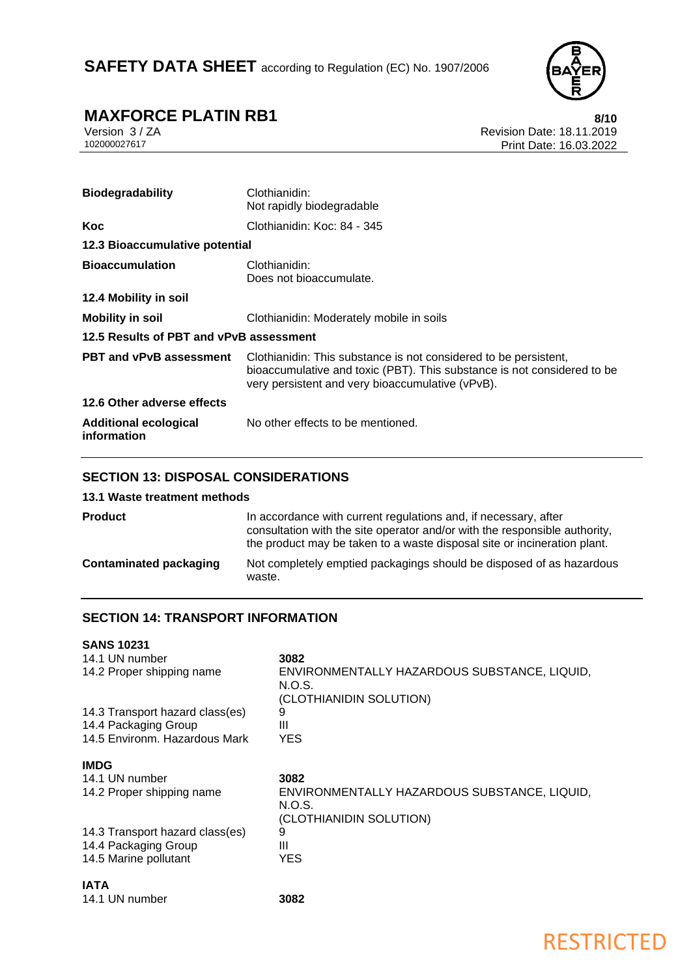

RESTRICTED

# **MAXFORCE PLATIN RB1** 8/10<br>
Version 3/ZA<br>
Revision Date: 18.11.2019

Version 3 / ZA Revision Date: 18.11.2019 Print Date: 16.03.2022

| <b>Biodegradability</b>                     | Clothianidin:<br>Not rapidly biodegradable                                                                                                                                                      |
|---------------------------------------------|-------------------------------------------------------------------------------------------------------------------------------------------------------------------------------------------------|
| Koc                                         | Clothianidin: Koc: 84 - 345                                                                                                                                                                     |
| 12.3 Bioaccumulative potential              |                                                                                                                                                                                                 |
| <b>Bioaccumulation</b>                      | Clothianidin:<br>Does not bioaccumulate.                                                                                                                                                        |
| 12.4 Mobility in soil                       |                                                                                                                                                                                                 |
| <b>Mobility in soil</b>                     | Clothianidin: Moderately mobile in soils                                                                                                                                                        |
| 12.5 Results of PBT and vPvB assessment     |                                                                                                                                                                                                 |
| <b>PBT and vPvB assessment</b>              | Clothianidin: This substance is not considered to be persistent,<br>bioaccumulative and toxic (PBT). This substance is not considered to be<br>very persistent and very bioaccumulative (vPvB). |
| 12.6 Other adverse effects                  |                                                                                                                                                                                                 |
| <b>Additional ecological</b><br>information | No other effects to be mentioned.                                                                                                                                                               |

## **SECTION 13: DISPOSAL CONSIDERATIONS**

#### **13.1 Waste treatment methods**

| <b>Product</b>                | In accordance with current regulations and, if necessary, after<br>consultation with the site operator and/or with the responsible authority,<br>the product may be taken to a waste disposal site or incineration plant. |
|-------------------------------|---------------------------------------------------------------------------------------------------------------------------------------------------------------------------------------------------------------------------|
| <b>Contaminated packaging</b> | Not completely emptied packagings should be disposed of as hazardous<br>waste.                                                                                                                                            |

## **SECTION 14: TRANSPORT INFORMATION**

| <b>SANS 10231</b>               |                                                                                   |
|---------------------------------|-----------------------------------------------------------------------------------|
| 14.1 UN number                  | 3082                                                                              |
| 14.2 Proper shipping name       | ENVIRONMENTALLY HAZARDOUS SUBSTANCE, LIQUID,<br>N.O.S.<br>(CLOTHIANIDIN SOLUTION) |
| 14.3 Transport hazard class(es) | 9                                                                                 |
| 14.4 Packaging Group            | Ш                                                                                 |
| 14.5 Environm, Hazardous Mark   | YES                                                                               |
| IMDG                            |                                                                                   |
| 14.1 UN number                  | 3082                                                                              |
| 14.2 Proper shipping name       | ENVIRONMENTALLY HAZARDOUS SUBSTANCE, LIQUID,<br>N.O.S.<br>(CLOTHIANIDIN SOLUTION) |
| 14.3 Transport hazard class(es) | 9                                                                                 |
| 14.4 Packaging Group            | Ш                                                                                 |
| 14.5 Marine pollutant           | YES                                                                               |
| IATA                            |                                                                                   |

14.1 UN number **3082**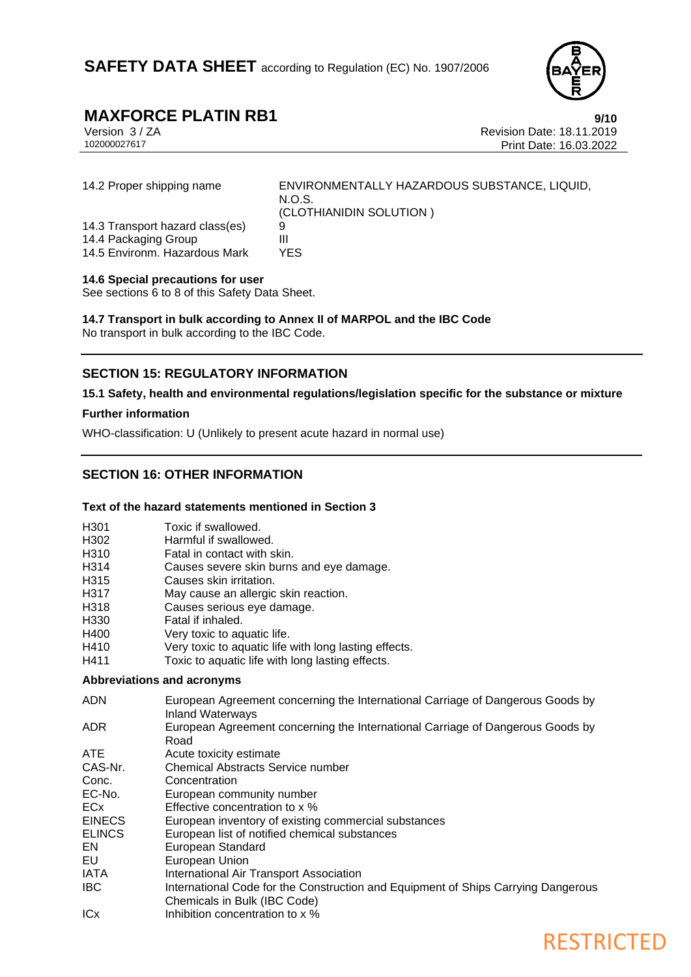

# **MAXFORCE PLATIN RB1**<br>
Version 3/ZA<br>
Revision Date: 18.11.2019

Version 3 / ZA Revision Date: 18.11.2019 Print Date: 16.03.2022

| 14.2 Proper shipping name                                                                | ENVIRONMENTALLY HAZARDOUS SUBSTANCE, LIQUID,<br>N.O.S.<br>(CLOTHIANIDIN SOLUTION) |
|------------------------------------------------------------------------------------------|-----------------------------------------------------------------------------------|
| 14.3 Transport hazard class(es)<br>14.4 Packaging Group<br>14.5 Environm. Hazardous Mark | Ш<br>YFS                                                                          |

#### **14.6 Special precautions for user**

See sections 6 to 8 of this Safety Data Sheet.

**14.7 Transport in bulk according to Annex II of MARPOL and the IBC Code** No transport in bulk according to the IBC Code.

## **SECTION 15: REGULATORY INFORMATION**

#### **15.1 Safety, health and environmental regulations/legislation specific for the substance or mixture**

#### **Further information**

WHO-classification: U (Unlikely to present acute hazard in normal use)

## **SECTION 16: OTHER INFORMATION**

#### **Text of the hazard statements mentioned in Section 3**

- H301 Toxic if swallowed.
- H302 Harmful if swallowed.
- H310 Fatal in contact with skin.<br>H314 Causes severe skin burns
- Causes severe skin burns and eye damage.
- H315 Causes skin irritation.
- H317 May cause an allergic skin reaction.
- H318 Causes serious eye damage.
- H330 Fatal if inhaled.
- H400 Very toxic to aquatic life.
- H410 Very toxic to aquatic life with long lasting effects.
- H411 Toxic to aquatic life with long lasting effects.

#### **Abbreviations and acronyms**

- ADN European Agreement concerning the International Carriage of Dangerous Goods by Inland Waterways
- ADR European Agreement concerning the International Carriage of Dangerous Goods by Road
- ATE Acute toxicity estimate
- CAS-Nr. Chemical Abstracts Service number
- Conc. Concentration
- EC-No. European community number
- ECx Effective concentration to x %
- EINECS European inventory of existing commercial substances
- ELINCS European list of notified chemical substances
- EN European Standard
- EU European Union
- IATA International Air Transport Association
- IBC International Code for the Construction and Equipment of Ships Carrying Dangerous Chemicals in Bulk (IBC Code)
- ICx Inhibition concentration to x %